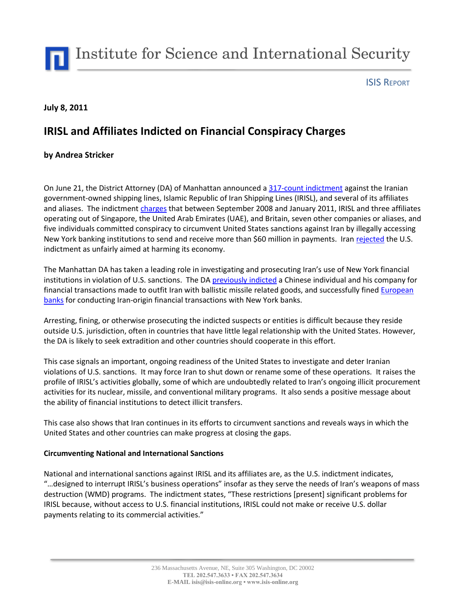Institute for Science and International Security

## ISIS REPORT

## **July 8, 2011**

# **IRISL and Affiliates Indicted on Financial Conspiracy Charges**

# **by Andrea Stricker**

On June 21, the District Attorney (DA) of Manhattan announced a [317-count indictment](http://manhattanda.org/sites/default/files/IRISL%20Indictment.pdf) against the Iranian government-owned shipping lines, Islamic Republic of Iran Shipping Lines (IRISL), and several of its affiliates and aliases. The indictmen[t charges](http://www.nytimes.com/2011/06/20/nyregion/iranian-shipper-accused-of-sneaking-money-through-ny-banks.html?_r=3&ref=todayspaper) that between September 2008 and January 2011, IRISL and three affiliates operating out of Singapore, the United Arab Emirates (UAE), and Britain, seven other companies or aliases, and five individuals committed conspiracy to circumvent United States sanctions against Iran by illegally accessing New York banking institutions to send and receive more than \$60 million in payments. Iran [rejected](http://af.reuters.com/article/energyOilNews/idAFHOS15854020110621?sp=true) the U.S. indictment as unfairly aimed at harming its economy.

The Manhattan DA has taken a leading role in investigating and prosecuting Iran's use of New York financial institutions in violation of U.S. sanctions. The DA [previously indicted](http://isis-online.org/uploads/isis-reports/documents/Limmt_Li_Fang_Wei_23Oct2009_update9Feb2011.pdf) a Chinese individual and his company for financial transactions made to outfit Iran with ballistic missile related goods, and successfully fine[d European](http://www.reuters.com/article/2009/01/12/us-probe-banking-violations-idUSTRE50B17120090112)  [banks](http://www.reuters.com/article/2009/01/12/us-probe-banking-violations-idUSTRE50B17120090112) for conducting Iran-origin financial transactions with New York banks.

Arresting, fining, or otherwise prosecuting the indicted suspects or entities is difficult because they reside outside U.S. jurisdiction, often in countries that have little legal relationship with the United States. However, the DA is likely to seek extradition and other countries should cooperate in this effort.

This case signals an important, ongoing readiness of the United States to investigate and deter Iranian violations of U.S. sanctions. It may force Iran to shut down or rename some of these operations. It raises the profile of IRISL's activities globally, some of which are undoubtedly related to Iran's ongoing illicit procurement activities for its nuclear, missile, and conventional military programs. It also sends a positive message about the ability of financial institutions to detect illicit transfers.

This case also shows that Iran continues in its efforts to circumvent sanctions and reveals ways in which the United States and other countries can make progress at closing the gaps.

### **Circumventing National and International Sanctions**

National and international sanctions against IRISL and its affiliates are, as the U.S. indictment indicates, "…designed to interrupt IRISL's business operations" insofar as they serve the needs of Iran's weapons of mass destruction (WMD) programs. The indictment states, "These restrictions [present] significant problems for IRISL because, without access to U.S. financial institutions, IRISL could not make or receive U.S. dollar payments relating to its commercial activities."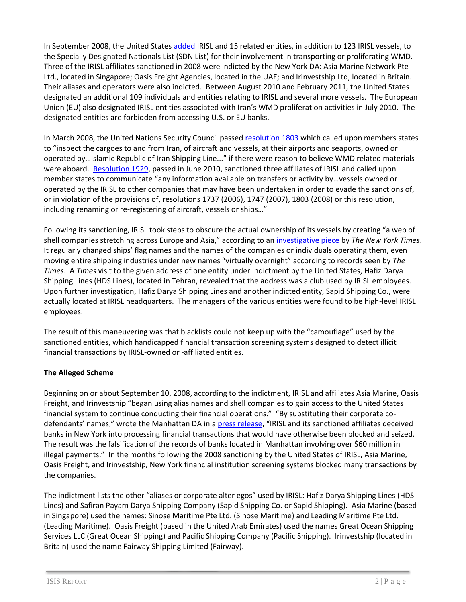In September 2008, the United States [added](http://manhattanda.org/press-release/da-vance-announces-indictment-iranian-shipping-line-illegal-use-banks-manhattan) IRISL and 15 related entities, in addition to 123 IRISL vessels, to the Specially Designated Nationals List (SDN List) for their involvement in transporting or proliferating WMD. Three of the IRISL affiliates sanctioned in 2008 were indicted by the New York DA: Asia Marine Network Pte Ltd., located in Singapore; Oasis Freight Agencies, located in the UAE; and Irinvestship Ltd, located in Britain. Their aliases and operators were also indicted. Between August 2010 and February 2011, the United States designated an additional 109 individuals and entities relating to IRISL and several more vessels. The European Union (EU) also designated IRISL entities associated with Iran's WMD proliferation activities in July 2010. The designated entities are forbidden from accessing U.S. or EU banks.

In March 2008, the United Nations Security Council passed [resolution 1803](http://www.isisnucleariran.org/assets/pdf/unsc_res1803.pdf) which called upon members states to "inspect the cargoes to and from Iran, of aircraft and vessels, at their airports and seaports, owned or operated by…Islamic Republic of Iran Shipping Line..." if there were reason to believe WMD related materials were aboard. [Resolution 1929,](http://www.iaea.org/newscenter/focus/iaeairan/unsc_res1929-2010.pdf) passed in June 2010, sanctioned three affiliates of IRISL and called upon member states to communicate "any information available on transfers or activity by…vessels owned or operated by the IRISL to other companies that may have been undertaken in order to evade the sanctions of, or in violation of the provisions of, resolutions 1737 (2006), 1747 (2007), 1803 (2008) or this resolution, including renaming or re-registering of aircraft, vessels or ships…"

Following its sanctioning, IRISL took steps to obscure the actual ownership of its vessels by creating "a web of shell companies stretching across Europe and Asia," according to an [investigative piece](http://www.nytimes.com/2010/06/08/world/middleeast/08sanctions.html?scp=2&sq=irisl&st=cse) by *The New York Times*. It regularly changed ships' flag names and the names of the companies or individuals operating them, even moving entire shipping industries under new names "virtually overnight" according to records seen by *The Times*. A *Times* visit to the given address of one entity under indictment by the United States, Hafiz Darya Shipping Lines (HDS Lines), located in Tehran, revealed that the address was a club used by IRISL employees. Upon further investigation, Hafiz Darya Shipping Lines and another indicted entity, Sapid Shipping Co., were actually located at IRISL headquarters. The managers of the various entities were found to be high-level IRISL employees.

The result of this maneuvering was that blacklists could not keep up with the "camouflage" used by the sanctioned entities, which handicapped financial transaction screening systems designed to detect illicit financial transactions by IRISL-owned or -affiliated entities.

# **The Alleged Scheme**

Beginning on or about September 10, 2008, according to the indictment, IRISL and affiliates Asia Marine, Oasis Freight, and Irinvestship "began using alias names and shell companies to gain access to the United States financial system to continue conducting their financial operations." "By substituting their corporate codefendants' names," wrote the Manhattan DA in a [press release](http://manhattanda.org/press-release/da-vance-announces-indictment-iranian-shipping-line-illegal-use-banks-manhattan), "IRISL and its sanctioned affiliates deceived banks in New York into processing financial transactions that would have otherwise been blocked and seized. The result was the falsification of the records of banks located in Manhattan involving over \$60 million in illegal payments." In the months following the 2008 sanctioning by the United States of IRISL, Asia Marine, Oasis Freight, and Irinvestship, New York financial institution screening systems blocked many transactions by the companies.

The indictment lists the other "aliases or corporate alter egos" used by IRISL: Hafiz Darya Shipping Lines (HDS Lines) and Safiran Payam Darya Shipping Company (Sapid Shipping Co. or Sapid Shipping). Asia Marine (based in Singapore) used the names: Sinose Maritime Pte Ltd. (Sinose Maritime) and Leading Maritime Pte Ltd. (Leading Maritime). Oasis Freight (based in the United Arab Emirates) used the names Great Ocean Shipping Services LLC (Great Ocean Shipping) and Pacific Shipping Company (Pacific Shipping). Irinvestship (located in Britain) used the name Fairway Shipping Limited (Fairway).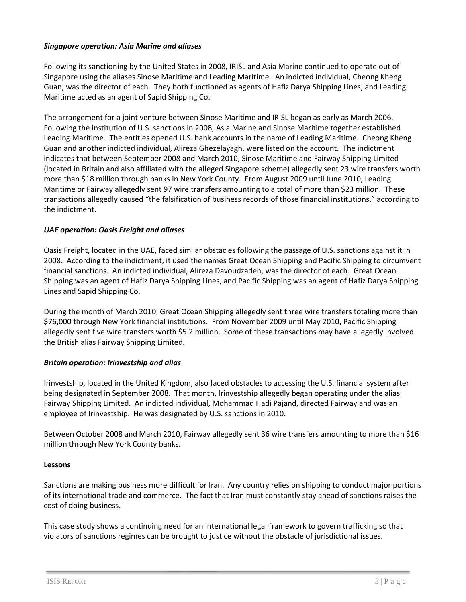## *Singapore operation: Asia Marine and aliases*

Following its sanctioning by the United States in 2008, IRISL and Asia Marine continued to operate out of Singapore using the aliases Sinose Maritime and Leading Maritime. An indicted individual, Cheong Kheng Guan, was the director of each. They both functioned as agents of Hafiz Darya Shipping Lines, and Leading Maritime acted as an agent of Sapid Shipping Co.

The arrangement for a joint venture between Sinose Maritime and IRISL began as early as March 2006. Following the institution of U.S. sanctions in 2008, Asia Marine and Sinose Maritime together established Leading Maritime. The entities opened U.S. bank accounts in the name of Leading Maritime. Cheong Kheng Guan and another indicted individual, Alireza Ghezelayagh, were listed on the account. The indictment indicates that between September 2008 and March 2010, Sinose Maritime and Fairway Shipping Limited (located in Britain and also affiliated with the alleged Singapore scheme) allegedly sent 23 wire transfers worth more than \$18 million through banks in New York County. From August 2009 until June 2010, Leading Maritime or Fairway allegedly sent 97 wire transfers amounting to a total of more than \$23 million. These transactions allegedly caused "the falsification of business records of those financial institutions," according to the indictment.

## *UAE operation: Oasis Freight and aliases*

Oasis Freight, located in the UAE, faced similar obstacles following the passage of U.S. sanctions against it in 2008. According to the indictment, it used the names Great Ocean Shipping and Pacific Shipping to circumvent financial sanctions. An indicted individual, Alireza Davoudzadeh, was the director of each. Great Ocean Shipping was an agent of Hafiz Darya Shipping Lines, and Pacific Shipping was an agent of Hafiz Darya Shipping Lines and Sapid Shipping Co.

During the month of March 2010, Great Ocean Shipping allegedly sent three wire transfers totaling more than \$76,000 through New York financial institutions. From November 2009 until May 2010, Pacific Shipping allegedly sent five wire transfers worth \$5.2 million. Some of these transactions may have allegedly involved the British alias Fairway Shipping Limited.

### *Britain operation: Irinvestship and alias*

Irinvestship, located in the United Kingdom, also faced obstacles to accessing the U.S. financial system after being designated in September 2008. That month, Irinvestship allegedly began operating under the alias Fairway Shipping Limited. An indicted individual, Mohammad Hadi Pajand, directed Fairway and was an employee of Irinvestship. He was designated by U.S. sanctions in 2010.

Between October 2008 and March 2010, Fairway allegedly sent 36 wire transfers amounting to more than \$16 million through New York County banks.

### **Lessons**

Sanctions are making business more difficult for Iran. Any country relies on shipping to conduct major portions of its international trade and commerce. The fact that Iran must constantly stay ahead of sanctions raises the cost of doing business.

This case study shows a continuing need for an international legal framework to govern trafficking so that violators of sanctions regimes can be brought to justice without the obstacle of jurisdictional issues.